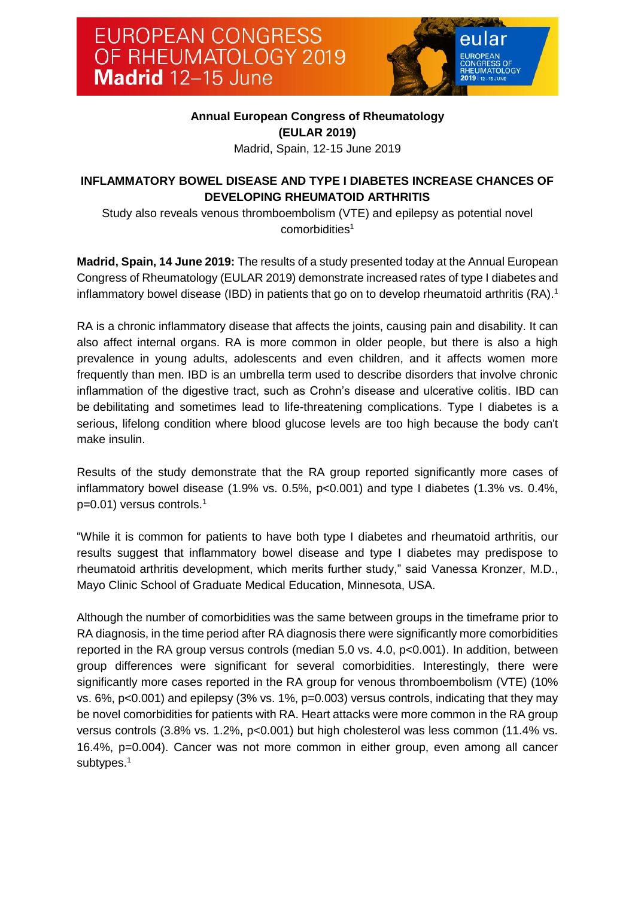

## **Annual European Congress of Rheumatology (EULAR 2019)**

<span id="page-0-0"></span>Madrid, Spain, 12-15 June 2019

# **INFLAMMATORY BOWEL DISEASE AND TYPE I DIABETES INCREASE CHANCES OF DEVELOPING RHEUMATOID ARTHRITIS**

Study also reveals venous thromboembolism (VTE) and epilepsy as potential novel comorbidities<sup>1</sup>

**Madrid, Spain, 14 June 2019:** The results of a study presented today at the Annual European Congress of Rheumatology (EULAR 2019) demonstrate increased rates of type I diabetes and inflammatory bowel disease (IBD) in patients that go on to develop rheumatoid arthritis (RA)[.](#page-0-0)<sup>1</sup>

RA is a chronic inflammatory disease that affects the joints, causing pain and disability. It can also affect internal organs. RA is more common in older people, but there is also a high prevalence in young adults, adolescents and even children, and it affects women more frequently than men. IBD is an umbrella term used to describe disorders that involve chronic inflammation of the digestive tract, such as Crohn's disease and ulcerative colitis. IBD can be debilitating and sometimes lead to life-threatening complications. Type I diabetes is a serious, lifelong condition where blood glucose levels are too high because the body can't make insulin.

Results of the study demonstrate that the RA group reported significantly more cases of inflammatory bowel disease (1.9% vs. 0.5%, p<0.001) and type I diabetes (1.3% vs. 0.4%, p=0.01) versus controls[.](#page-0-0) 1

"While it is common for patients to have both type I diabetes and rheumatoid arthritis, our results suggest that inflammatory bowel disease and type I diabetes may predispose to rheumatoid arthritis development, which merits further study," said Vanessa Kronzer, M.D., Mayo Clinic School of Graduate Medical Education, Minnesota, USA.

Although the number of comorbidities was the same between groups in the timeframe prior to RA diagnosis, in the time period after RA diagnosis there were significantly more comorbidities reported in the RA group versus controls (median 5.0 vs. 4.0, p<0.001). In addition, between group differences were significant for several comorbidities. Interestingly, there were significantly more cases reported in the RA group for venous thromboembolism (VTE) (10% vs. 6%, p<0.001) and epilepsy (3% vs. 1%, p=0.003) versus controls, indicating that they may be novel comorbidities for patients with RA. Heart attacks were more common in the RA group versus controls (3.8% vs. 1.2%, p<0.001) but high cholesterol was less common (11.4% vs. 16.4%, p=0.004). Cancer was not more common in either group, even among all cancer subtypes.<sup>[1](#page-0-0)</sup>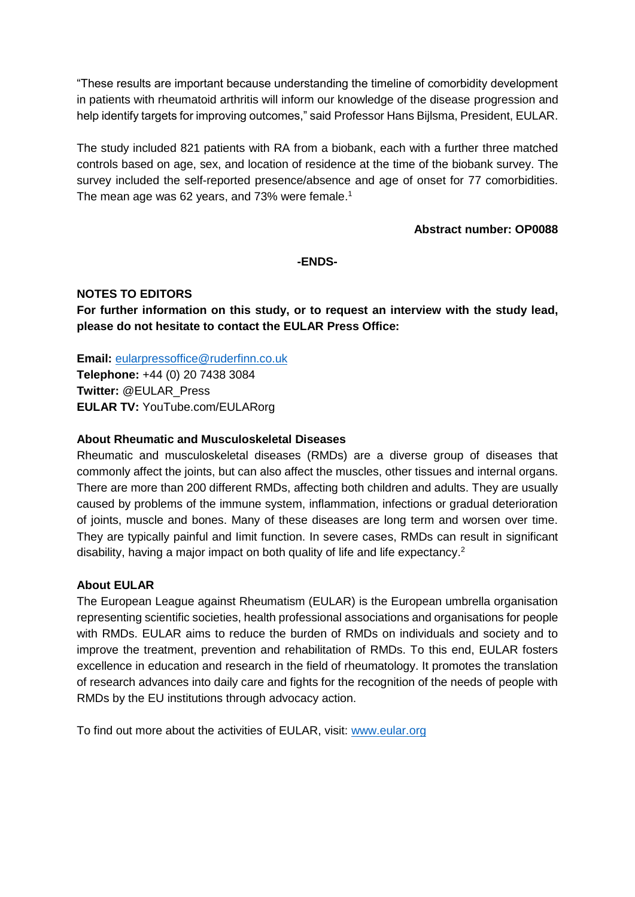"These results are important because understanding the timeline of comorbidity development in patients with rheumatoid arthritis will inform our knowledge of the disease progression and help identify targets for improving outcomes," said Professor Hans Bijlsma, President, EULAR.

The study included 821 patients with RA from a biobank, each with a further three matched controls based on age, sex, and location of residence at the time of the biobank survey. The survey included the self-reported presence/absence and age of onset for 77 comorbidities. The mean age was 62 years, and 73% were female.<sup>[1](#page-0-0)</sup>

### **Abstract number: OP0088**

## **-ENDS-**

## **NOTES TO EDITORS**

**For further information on this study, or to request an interview with the study lead, please do not hesitate to contact the EULAR Press Office:**

**Email:** [eularpressoffice@ruderfinn.co.uk](mailto:eularpressoffice@ruderfinn.co.uk) **Telephone:** +44 (0) 20 7438 3084 **Twitter:** @EULAR\_Press **EULAR TV:** YouTube.com/EULARorg

### **About Rheumatic and Musculoskeletal Diseases**

Rheumatic and musculoskeletal diseases (RMDs) are a diverse group of diseases that commonly affect the joints, but can also affect the muscles, other tissues and internal organs. There are more than 200 different RMDs, affecting both children and adults. They are usually caused by problems of the immune system, inflammation, infections or gradual deterioration of joints, muscle and bones. Many of these diseases are long term and worsen over time. They are typically painful and Iimit function. In severe cases, RMDs can result in significant disability, having a major impact on both quality of life and life expectancy.<sup>2</sup>

#### **About EULAR**

The European League against Rheumatism (EULAR) is the European umbrella organisation representing scientific societies, health professional associations and organisations for people with RMDs. EULAR aims to reduce the burden of RMDs on individuals and society and to improve the treatment, prevention and rehabilitation of RMDs. To this end, EULAR fosters excellence in education and research in the field of rheumatology. It promotes the translation of research advances into daily care and fights for the recognition of the needs of people with RMDs by the EU institutions through advocacy action.

To find out more about the activities of EULAR, visit: [www.eular.org](http://www.eular.org/)